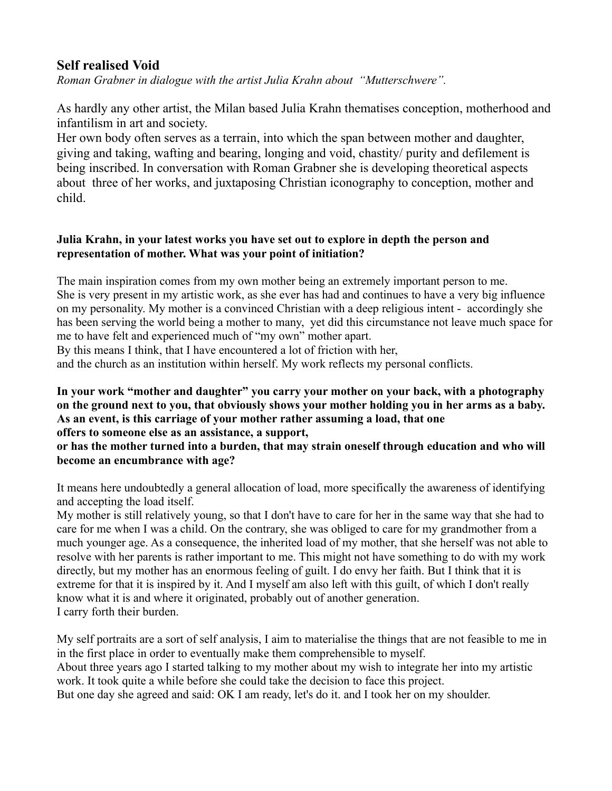# **Self realised Void**

*Roman Grabner in dialogue with the artist Julia Krahn about "Mutterschwere".*

As hardly any other artist, the Milan based Julia Krahn thematises conception, motherhood and infantilism in art and society.

Her own body often serves as a terrain, into which the span between mother and daughter, giving and taking, wafting and bearing, longing and void, chastity/ purity and defilement is being inscribed. In conversation with Roman Grabner she is developing theoretical aspects about three of her works, and juxtaposing Christian iconography to conception, mother and child.

#### **Julia Krahn, in your latest works you have set out to explore in depth the person and representation of mother. What was your point of initiation?**

The main inspiration comes from my own mother being an extremely important person to me. She is very present in my artistic work, as she ever has had and continues to have a very big influence on my personality. My mother is a convinced Christian with a deep religious intent - accordingly she has been serving the world being a mother to many, yet did this circumstance not leave much space for me to have felt and experienced much of "my own" mother apart.

By this means I think, that I have encountered a lot of friction with her,

and the church as an institution within herself. My work reflects my personal conflicts.

#### **In your work "mother and daughter" you carry your mother on your back, with a photography on the ground next to you, that obviously shows your mother holding you in her arms as a baby. As an event, is this carriage of your mother rather assuming a load, that one offers to someone else as an assistance, a support,**

## **or has the mother turned into a burden, that may strain oneself through education and who will become an encumbrance with age?**

It means here undoubtedly a general allocation of load, more specifically the awareness of identifying and accepting the load itself.

My mother is still relatively young, so that I don't have to care for her in the same way that she had to care for me when I was a child. On the contrary, she was obliged to care for my grandmother from a much younger age. As a consequence, the inherited load of my mother, that she herself was not able to resolve with her parents is rather important to me. This might not have something to do with my work directly, but my mother has an enormous feeling of guilt. I do envy her faith. But I think that it is extreme for that it is inspired by it. And I myself am also left with this guilt, of which I don't really know what it is and where it originated, probably out of another generation. I carry forth their burden.

My self portraits are a sort of self analysis, I aim to materialise the things that are not feasible to me in in the first place in order to eventually make them comprehensible to myself.

About three years ago I started talking to my mother about my wish to integrate her into my artistic work. It took quite a while before she could take the decision to face this project.

But one day she agreed and said: OK I am ready, let's do it. and I took her on my shoulder.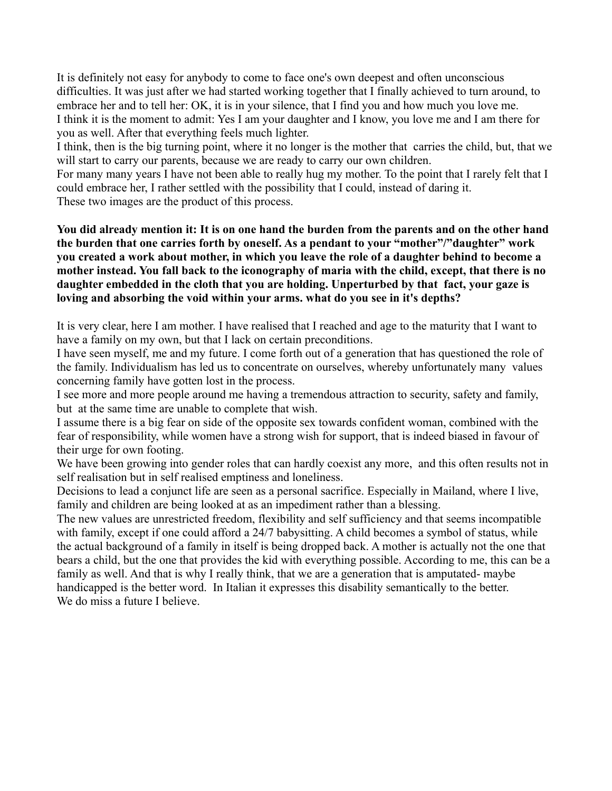It is definitely not easy for anybody to come to face one's own deepest and often unconscious difficulties. It was just after we had started working together that I finally achieved to turn around, to embrace her and to tell her: OK, it is in your silence, that I find you and how much you love me. I think it is the moment to admit: Yes I am your daughter and I know, you love me and I am there for you as well. After that everything feels much lighter.

I think, then is the big turning point, where it no longer is the mother that carries the child, but, that we will start to carry our parents, because we are ready to carry our own children.

For many many years I have not been able to really hug my mother. To the point that I rarely felt that I could embrace her, I rather settled with the possibility that I could, instead of daring it.

These two images are the product of this process.

**You did already mention it: It is on one hand the burden from the parents and on the other hand the burden that one carries forth by oneself. As a pendant to your "mother"/"daughter" work you created a work about mother, in which you leave the role of a daughter behind to become a mother instead. You fall back to the iconography of maria with the child, except, that there is no daughter embedded in the cloth that you are holding. Unperturbed by that fact, your gaze is loving and absorbing the void within your arms. what do you see in it's depths?**

It is very clear, here I am mother. I have realised that I reached and age to the maturity that I want to have a family on my own, but that I lack on certain preconditions.

I have seen myself, me and my future. I come forth out of a generation that has questioned the role of the family. Individualism has led us to concentrate on ourselves, whereby unfortunately many values concerning family have gotten lost in the process.

I see more and more people around me having a tremendous attraction to security, safety and family, but at the same time are unable to complete that wish.

I assume there is a big fear on side of the opposite sex towards confident woman, combined with the fear of responsibility, while women have a strong wish for support, that is indeed biased in favour of their urge for own footing.

We have been growing into gender roles that can hardly coexist any more, and this often results not in self realisation but in self realised emptiness and loneliness.

Decisions to lead a conjunct life are seen as a personal sacrifice. Especially in Mailand, where I live, family and children are being looked at as an impediment rather than a blessing.

The new values are unrestricted freedom, flexibility and self sufficiency and that seems incompatible with family, except if one could afford a 24/7 babysitting. A child becomes a symbol of status, while the actual background of a family in itself is being dropped back. A mother is actually not the one that bears a child, but the one that provides the kid with everything possible. According to me, this can be a family as well. And that is why I really think, that we are a generation that is amputated- maybe handicapped is the better word. In Italian it expresses this disability semantically to the better. We do miss a future I believe.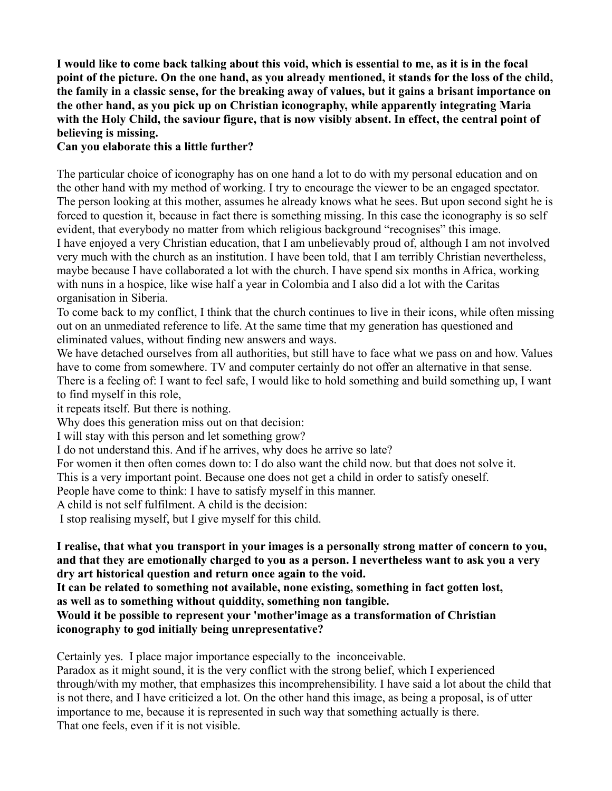**I would like to come back talking about this void, which is essential to me, as it is in the focal point of the picture. On the one hand, as you already mentioned, it stands for the loss of the child, the family in a classic sense, for the breaking away of values, but it gains a brisant importance on the other hand, as you pick up on Christian iconography, while apparently integrating Maria with the Holy Child, the saviour figure, that is now visibly absent. In effect, the central point of believing is missing.** 

#### **Can you elaborate this a little further?**

The particular choice of iconography has on one hand a lot to do with my personal education and on the other hand with my method of working. I try to encourage the viewer to be an engaged spectator. The person looking at this mother, assumes he already knows what he sees. But upon second sight he is forced to question it, because in fact there is something missing. In this case the iconography is so self evident, that everybody no matter from which religious background "recognises" this image. I have enjoyed a very Christian education, that I am unbelievably proud of, although I am not involved very much with the church as an institution. I have been told, that I am terribly Christian nevertheless, maybe because I have collaborated a lot with the church. I have spend six months in Africa, working with nuns in a hospice, like wise half a year in Colombia and I also did a lot with the Caritas organisation in Siberia.

To come back to my conflict, I think that the church continues to live in their icons, while often missing out on an unmediated reference to life. At the same time that my generation has questioned and eliminated values, without finding new answers and ways.

We have detached ourselves from all authorities, but still have to face what we pass on and how. Values have to come from somewhere. TV and computer certainly do not offer an alternative in that sense. There is a feeling of: I want to feel safe, I would like to hold something and build something up, I want to find myself in this role,

it repeats itself. But there is nothing.

Why does this generation miss out on that decision:

I will stay with this person and let something grow?

I do not understand this. And if he arrives, why does he arrive so late?

For women it then often comes down to: I do also want the child now. but that does not solve it.

This is a very important point. Because one does not get a child in order to satisfy oneself.

People have come to think: I have to satisfy myself in this manner.

A child is not self fulfilment. A child is the decision:

I stop realising myself, but I give myself for this child.

**I realise, that what you transport in your images is a personally strong matter of concern to you, and that they are emotionally charged to you as a person. I nevertheless want to ask you a very dry art historical question and return once again to the void.** 

**It can be related to something not available, none existing, something in fact gotten lost, as well as to something without quiddity, something non tangible.**

**Would it be possible to represent your 'mother'image as a transformation of Christian iconography to god initially being unrepresentative?**

Certainly yes. I place major importance especially to the inconceivable.

Paradox as it might sound, it is the very conflict with the strong belief, which I experienced through/with my mother, that emphasizes this incomprehensibility. I have said a lot about the child that is not there, and I have criticized a lot. On the other hand this image, as being a proposal, is of utter importance to me, because it is represented in such way that something actually is there. That one feels, even if it is not visible.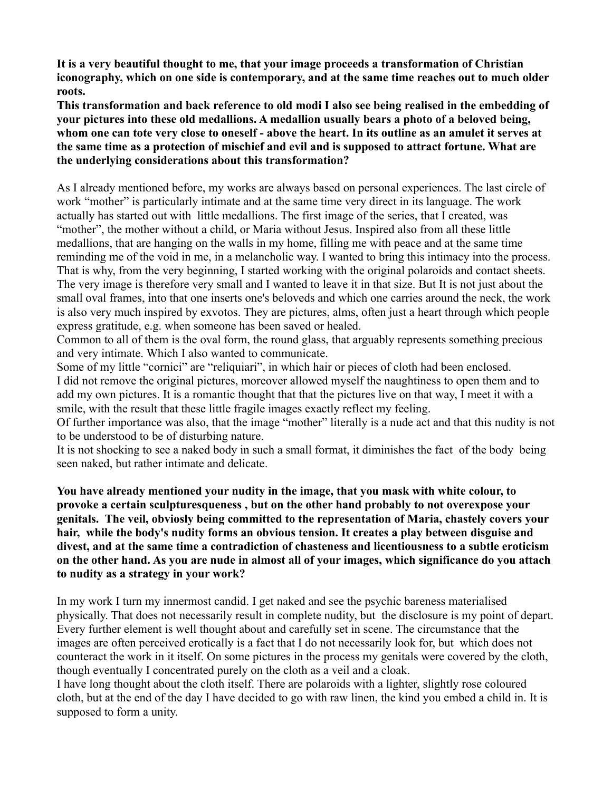**It is a very beautiful thought to me, that your image proceeds a transformation of Christian iconography, which on one side is contemporary, and at the same time reaches out to much older roots.**

**This transformation and back reference to old modi I also see being realised in the embedding of your pictures into these old medallions. A medallion usually bears a photo of a beloved being, whom one can tote very close to oneself - above the heart. In its outline as an amulet it serves at the same time as a protection of mischief and evil and is supposed to attract fortune. What are the underlying considerations about this transformation?**

As I already mentioned before, my works are always based on personal experiences. The last circle of work "mother" is particularly intimate and at the same time very direct in its language. The work actually has started out with little medallions. The first image of the series, that I created, was "mother", the mother without a child, or Maria without Jesus. Inspired also from all these little medallions, that are hanging on the walls in my home, filling me with peace and at the same time reminding me of the void in me, in a melancholic way. I wanted to bring this intimacy into the process. That is why, from the very beginning, I started working with the original polaroids and contact sheets. The very image is therefore very small and I wanted to leave it in that size. But It is not just about the small oval frames, into that one inserts one's beloveds and which one carries around the neck, the work is also very much inspired by exvotos. They are pictures, alms, often just a heart through which people express gratitude, e.g. when someone has been saved or healed.

Common to all of them is the oval form, the round glass, that arguably represents something precious and very intimate. Which I also wanted to communicate.

Some of my little "cornici" are "reliquiari", in which hair or pieces of cloth had been enclosed. I did not remove the original pictures, moreover allowed myself the naughtiness to open them and to add my own pictures. It is a romantic thought that that the pictures live on that way, I meet it with a smile, with the result that these little fragile images exactly reflect my feeling.

Of further importance was also, that the image "mother" literally is a nude act and that this nudity is not to be understood to be of disturbing nature.

It is not shocking to see a naked body in such a small format, it diminishes the fact of the body being seen naked, but rather intimate and delicate.

**You have already mentioned your nudity in the image, that you mask with white colour, to provoke a certain sculpturesqueness , but on the other hand probably to not overexpose your genitals. The veil, obviosly being committed to the representation of Maria, chastely covers your hair, while the body's nudity forms an obvious tension. It creates a play between disguise and divest, and at the same time a contradiction of chasteness and licentiousness to a subtle eroticism on the other hand. As you are nude in almost all of your images, which significance do you attach to nudity as a strategy in your work?**

In my work I turn my innermost candid. I get naked and see the psychic bareness materialised physically. That does not necessarily result in complete nudity, but the disclosure is my point of depart. Every further element is well thought about and carefully set in scene. The circumstance that the images are often perceived erotically is a fact that I do not necessarily look for, but which does not counteract the work in it itself. On some pictures in the process my genitals were covered by the cloth, though eventually I concentrated purely on the cloth as a veil and a cloak.

I have long thought about the cloth itself. There are polaroids with a lighter, slightly rose coloured cloth, but at the end of the day I have decided to go with raw linen, the kind you embed a child in. It is supposed to form a unity.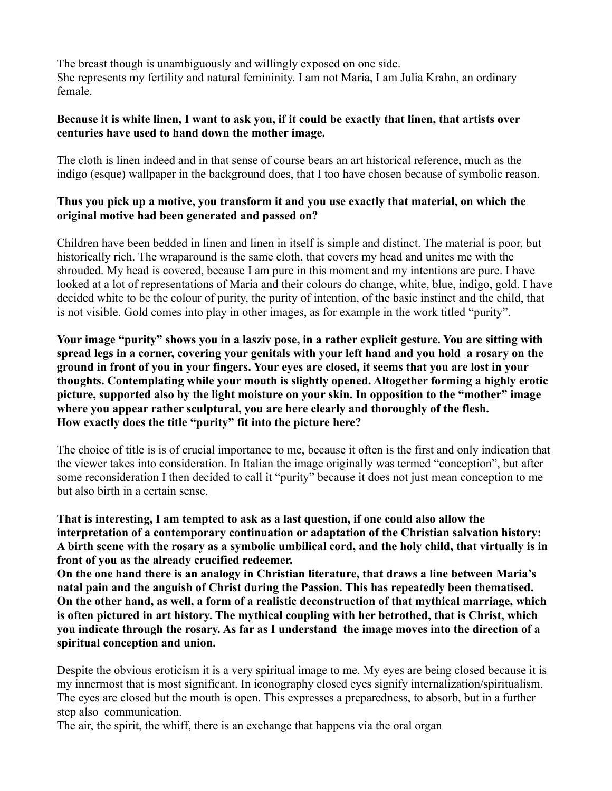The breast though is unambiguously and willingly exposed on one side. She represents my fertility and natural femininity. I am not Maria, I am Julia Krahn, an ordinary female.

#### **Because it is white linen, I want to ask you, if it could be exactly that linen, that artists over centuries have used to hand down the mother image.**

The cloth is linen indeed and in that sense of course bears an art historical reference, much as the indigo (esque) wallpaper in the background does, that I too have chosen because of symbolic reason.

#### **Thus you pick up a motive, you transform it and you use exactly that material, on which the original motive had been generated and passed on?**

Children have been bedded in linen and linen in itself is simple and distinct. The material is poor, but historically rich. The wraparound is the same cloth, that covers my head and unites me with the shrouded. My head is covered, because I am pure in this moment and my intentions are pure. I have looked at a lot of representations of Maria and their colours do change, white, blue, indigo, gold. I have decided white to be the colour of purity, the purity of intention, of the basic instinct and the child, that is not visible. Gold comes into play in other images, as for example in the work titled "purity".

**Your image "purity" shows you in a lasziv pose, in a rather explicit gesture. You are sitting with spread legs in a corner, covering your genitals with your left hand and you hold a rosary on the ground in front of you in your fingers. Your eyes are closed, it seems that you are lost in your thoughts. Contemplating while your mouth is slightly opened. Altogether forming a highly erotic picture, supported also by the light moisture on your skin. In opposition to the "mother" image where you appear rather sculptural, you are here clearly and thoroughly of the flesh. How exactly does the title "purity" fit into the picture here?**

The choice of title is is of crucial importance to me, because it often is the first and only indication that the viewer takes into consideration. In Italian the image originally was termed "conception", but after some reconsideration I then decided to call it "purity" because it does not just mean conception to me but also birth in a certain sense.

**That is interesting, I am tempted to ask as a last question, if one could also allow the interpretation of a contemporary continuation or adaptation of the Christian salvation history: A birth scene with the rosary as a symbolic umbilical cord, and the holy child, that virtually is in front of you as the already crucified redeemer.** 

**On the one hand there is an analogy in Christian literature, that draws a line between Maria's natal pain and the anguish of Christ during the Passion. This has repeatedly been thematised. On the other hand, as well, a form of a realistic deconstruction of that mythical marriage, which is often pictured in art history. The mythical coupling with her betrothed, that is Christ, which you indicate through the rosary. As far as I understand the image moves into the direction of a spiritual conception and union.**

Despite the obvious eroticism it is a very spiritual image to me. My eyes are being closed because it is my innermost that is most significant. In iconography closed eyes signify internalization/spiritualism. The eyes are closed but the mouth is open. This expresses a preparedness, to absorb, but in a further step also communication.

The air, the spirit, the whiff, there is an exchange that happens via the oral organ